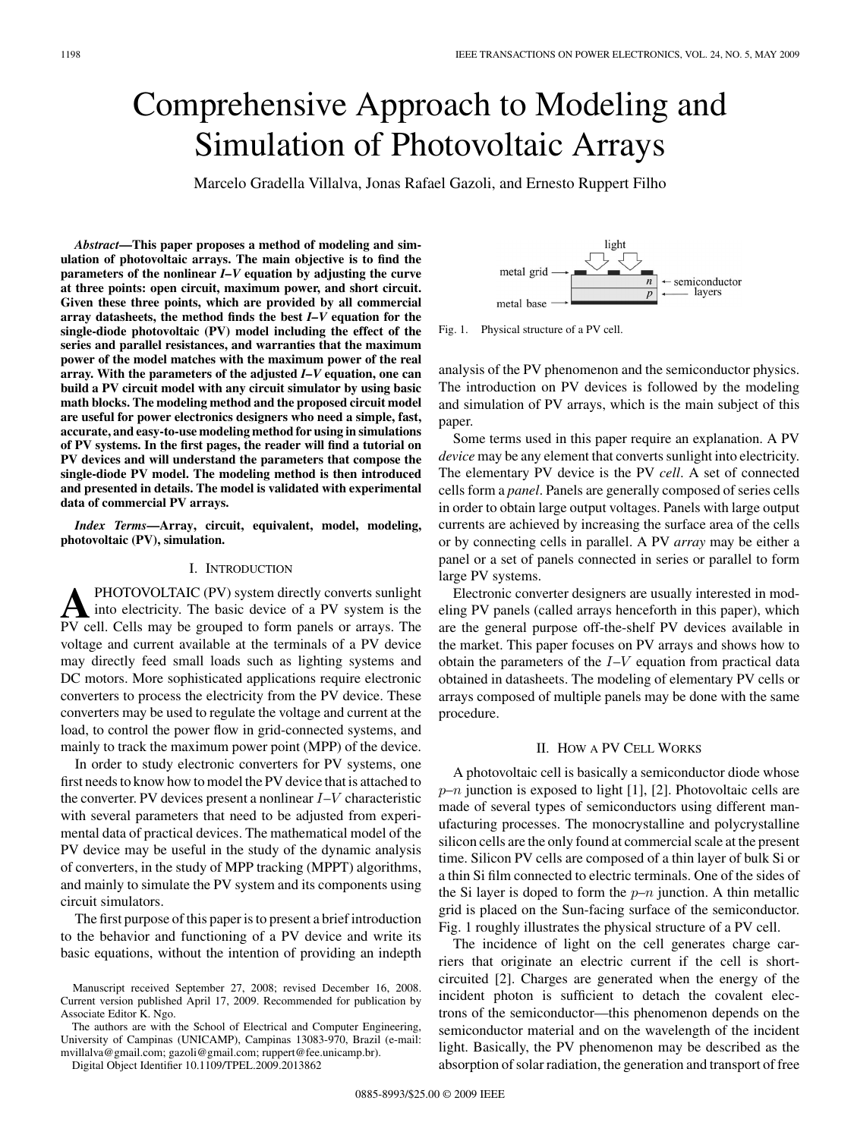# Comprehensive Approach to Modeling and Simulation of Photovoltaic Arrays

Marcelo Gradella Villalva, Jonas Rafael Gazoli, and Ernesto Ruppert Filho

*Abstract***—This paper proposes a method of modeling and simulation of photovoltaic arrays. The main objective is to find the parameters of the nonlinear** *I–V* **equation by adjusting the curve at three points: open circuit, maximum power, and short circuit. Given these three points, which are provided by all commercial array datasheets, the method finds the best** *I–V* **equation for the single-diode photovoltaic (PV) model including the effect of the series and parallel resistances, and warranties that the maximum power of the model matches with the maximum power of the real array. With the parameters of the adjusted** *I–V* **equation, one can build a PV circuit model with any circuit simulator by using basic math blocks. The modeling method and the proposed circuit model are useful for power electronics designers who need a simple, fast, accurate, and easy-to-use modeling method for using in simulations of PV systems. In the first pages, the reader will find a tutorial on PV devices and will understand the parameters that compose the single-diode PV model. The modeling method is then introduced and presented in details. The model is validated with experimental data of commercial PV arrays.**

*Index Terms***—Array, circuit, equivalent, model, modeling, photovoltaic (PV), simulation.**

### I. INTRODUCTION

**A**PHOTOVOLTAIC (PV) system directly converts sunlight into electricity. The basic device of a PV system is the property call. Galls may be ground to form papels or group. The PV cell. Cells may be grouped to form panels or arrays. The voltage and current available at the terminals of a PV device may directly feed small loads such as lighting systems and DC motors. More sophisticated applications require electronic converters to process the electricity from the PV device. These converters may be used to regulate the voltage and current at the load, to control the power flow in grid-connected systems, and mainly to track the maximum power point (MPP) of the device.

In order to study electronic converters for PV systems, one first needs to know how to model the PV device that is attached to the converter. PV devices present a nonlinear  $I-V$  characteristic with several parameters that need to be adjusted from experimental data of practical devices. The mathematical model of the PV device may be useful in the study of the dynamic analysis of converters, in the study of MPP tracking (MPPT) algorithms, and mainly to simulate the PV system and its components using circuit simulators.

The first purpose of this paper is to present a brief introduction to the behavior and functioning of a PV device and write its basic equations, without the intention of providing an indepth



Fig. 1. Physical structure of a PV cell.

analysis of the PV phenomenon and the semiconductor physics. The introduction on PV devices is followed by the modeling and simulation of PV arrays, which is the main subject of this paper.

Some terms used in this paper require an explanation. A PV *device* may be any element that converts sunlight into electricity. The elementary PV device is the PV *cell*. A set of connected cells form a *panel*. Panels are generally composed of series cells in order to obtain large output voltages. Panels with large output currents are achieved by increasing the surface area of the cells or by connecting cells in parallel. A PV *array* may be either a panel or a set of panels connected in series or parallel to form large PV systems.

Electronic converter designers are usually interested in modeling PV panels (called arrays henceforth in this paper), which are the general purpose off-the-shelf PV devices available in the market. This paper focuses on PV arrays and shows how to obtain the parameters of the  $I-V$  equation from practical data obtained in datasheets. The modeling of elementary PV cells or arrays composed of multiple panels may be done with the same procedure.

### II. HOW A PV CELL WORKS

A photovoltaic cell is basically a semiconductor diode whose  $p-n$  junction is exposed to light [1], [2]. Photovoltaic cells are made of several types of semiconductors using different manufacturing processes. The monocrystalline and polycrystalline silicon cells are the only found at commercial scale at the present time. Silicon PV cells are composed of a thin layer of bulk Si or a thin Si film connected to electric terminals. One of the sides of the Si layer is doped to form the  $p-n$  junction. A thin metallic grid is placed on the Sun-facing surface of the semiconductor. Fig. 1 roughly illustrates the physical structure of a PV cell.

The incidence of light on the cell generates charge carriers that originate an electric current if the cell is shortcircuited [2]. Charges are generated when the energy of the incident photon is sufficient to detach the covalent electrons of the semiconductor—this phenomenon depends on the semiconductor material and on the wavelength of the incident light. Basically, the PV phenomenon may be described as the absorption of solar radiation, the generation and transport of free

Manuscript received September 27, 2008; revised December 16, 2008. Current version published April 17, 2009. Recommended for publication by Associate Editor K. Ngo.

The authors are with the School of Electrical and Computer Engineering, University of Campinas (UNICAMP), Campinas 13083-970, Brazil (e-mail: mvillalva@gmail.com; gazoli@gmail.com; ruppert@fee.unicamp.br).

Digital Object Identifier 10.1109/TPEL.2009.2013862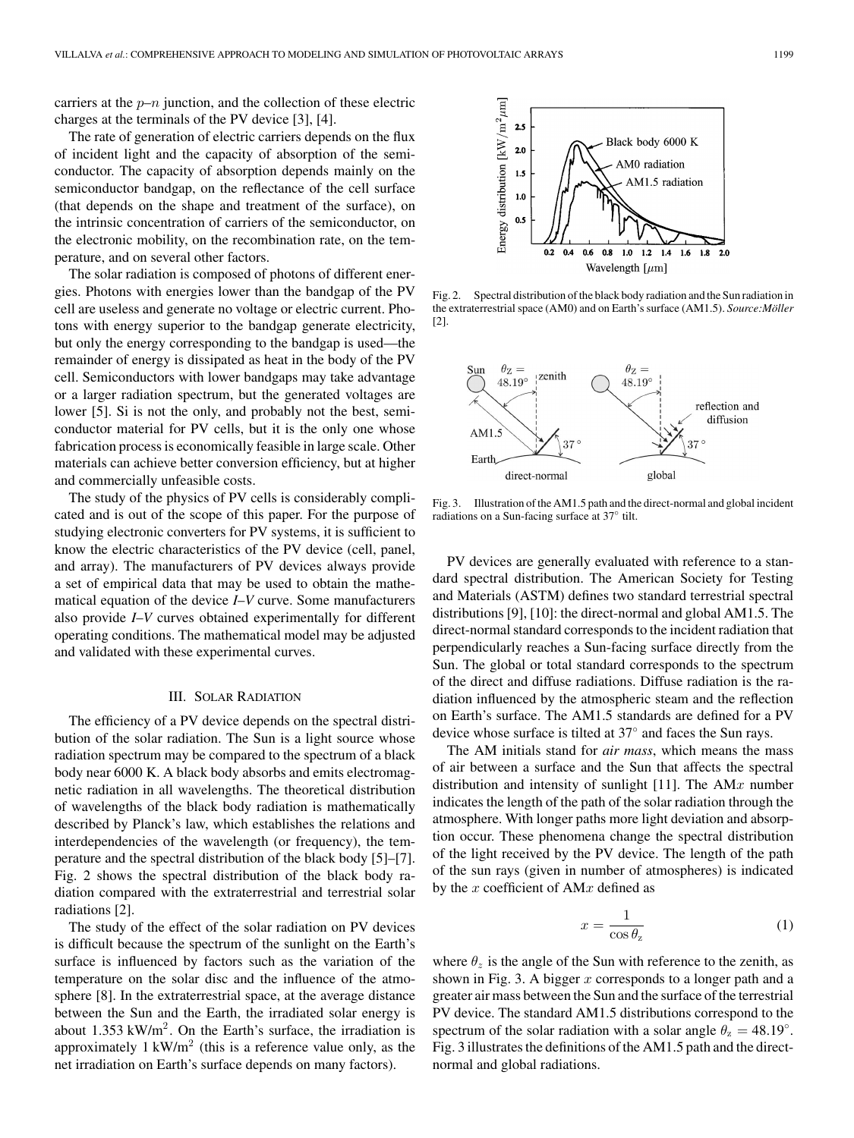carriers at the  $p-n$  junction, and the collection of these electric charges at the terminals of the PV device [3], [4].

The rate of generation of electric carriers depends on the flux of incident light and the capacity of absorption of the semiconductor. The capacity of absorption depends mainly on the semiconductor bandgap, on the reflectance of the cell surface (that depends on the shape and treatment of the surface), on the intrinsic concentration of carriers of the semiconductor, on the electronic mobility, on the recombination rate, on the temperature, and on several other factors.

The solar radiation is composed of photons of different energies. Photons with energies lower than the bandgap of the PV cell are useless and generate no voltage or electric current. Photons with energy superior to the bandgap generate electricity, but only the energy corresponding to the bandgap is used—the remainder of energy is dissipated as heat in the body of the PV cell. Semiconductors with lower bandgaps may take advantage or a larger radiation spectrum, but the generated voltages are lower [5]. Si is not the only, and probably not the best, semiconductor material for PV cells, but it is the only one whose fabrication process is economically feasible in large scale. Other materials can achieve better conversion efficiency, but at higher and commercially unfeasible costs.

The study of the physics of PV cells is considerably complicated and is out of the scope of this paper. For the purpose of studying electronic converters for PV systems, it is sufficient to know the electric characteristics of the PV device (cell, panel, and array). The manufacturers of PV devices always provide a set of empirical data that may be used to obtain the mathematical equation of the device *I*–*V* curve. Some manufacturers also provide *I*–*V* curves obtained experimentally for different operating conditions. The mathematical model may be adjusted and validated with these experimental curves.

#### III. SOLAR RADIATION

The efficiency of a PV device depends on the spectral distribution of the solar radiation. The Sun is a light source whose radiation spectrum may be compared to the spectrum of a black body near 6000 K. A black body absorbs and emits electromagnetic radiation in all wavelengths. The theoretical distribution of wavelengths of the black body radiation is mathematically described by Planck's law, which establishes the relations and interdependencies of the wavelength (or frequency), the temperature and the spectral distribution of the black body [5]–[7]. Fig. 2 shows the spectral distribution of the black body radiation compared with the extraterrestrial and terrestrial solar radiations [2].

The study of the effect of the solar radiation on PV devices is difficult because the spectrum of the sunlight on the Earth's surface is influenced by factors such as the variation of the temperature on the solar disc and the influence of the atmosphere [8]. In the extraterrestrial space, at the average distance between the Sun and the Earth, the irradiated solar energy is about 1.353 kW/m<sup>2</sup>. On the Earth's surface, the irradiation is approximately  $1 \text{ kW/m}^2$  (this is a reference value only, as the net irradiation on Earth's surface depends on many factors).



Fig. 2. Spectral distribution of the black body radiation and the Sun radiation in the extraterrestrial space (AM0) and on Earth's surface (AM1.5). *Source:Moller ¨* [2].



Fig. 3. Illustration of the AM1.5 path and the direct-normal and global incident radiations on a Sun-facing surface at 37◦ tilt.

PV devices are generally evaluated with reference to a standard spectral distribution. The American Society for Testing and Materials (ASTM) defines two standard terrestrial spectral distributions [9], [10]: the direct-normal and global AM1.5. The direct-normal standard corresponds to the incident radiation that perpendicularly reaches a Sun-facing surface directly from the Sun. The global or total standard corresponds to the spectrum of the direct and diffuse radiations. Diffuse radiation is the radiation influenced by the atmospheric steam and the reflection on Earth's surface. The AM1.5 standards are defined for a PV device whose surface is tilted at 37◦ and faces the Sun rays.

The AM initials stand for *air mass*, which means the mass of air between a surface and the Sun that affects the spectral distribution and intensity of sunlight [11]. The  $AMx$  number indicates the length of the path of the solar radiation through the atmosphere. With longer paths more light deviation and absorption occur. These phenomena change the spectral distribution of the light received by the PV device. The length of the path of the sun rays (given in number of atmospheres) is indicated by the  $x$  coefficient of AM $x$  defined as

$$
x = \frac{1}{\cos \theta_{\rm z}}\tag{1}
$$

where  $\theta_z$  is the angle of the Sun with reference to the zenith, as shown in Fig. 3. A bigger  $x$  corresponds to a longer path and a greater air mass between the Sun and the surface of the terrestrial PV device. The standard AM1.5 distributions correspond to the spectrum of the solar radiation with a solar angle  $\theta_z = 48.19^\circ$ . Fig. 3 illustrates the definitions of the AM1.5 path and the directnormal and global radiations.